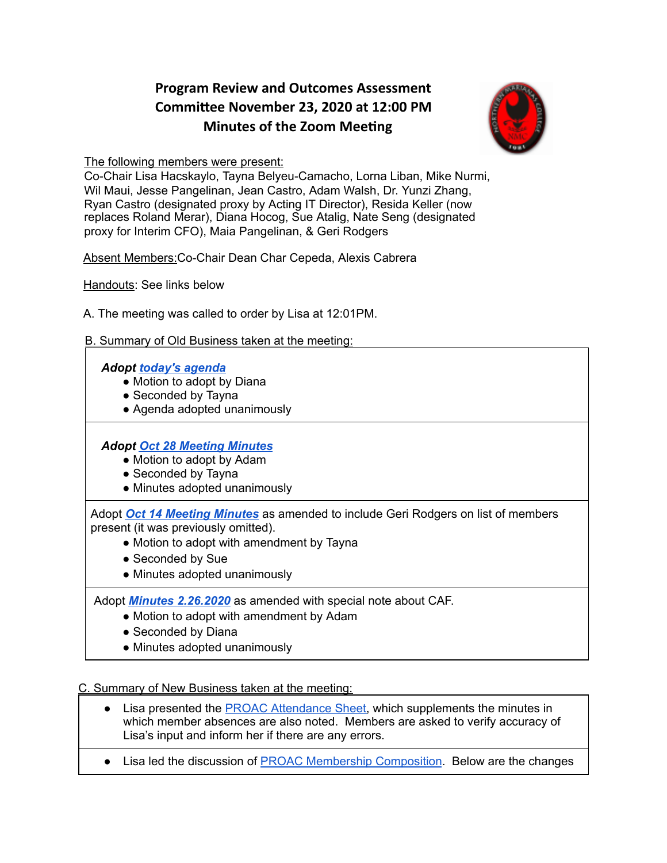# **Program Review and Outcomes Assessment Commiee November 23, 2020 at 12:00 PM Minutes of the Zoom Meeting**



The following members were present:

Co-Chair Lisa Hacskaylo, Tayna Belyeu-Camacho, Lorna Liban, Mike Nurmi, Wil Maui, Jesse Pangelinan, Jean Castro, Adam Walsh, Dr. Yunzi Zhang, Ryan Castro (designated proxy by Acting IT Director), Resida Keller (now replaces Roland Merar), Diana Hocog, Sue Atalig, Nate Seng (designated proxy for Interim CFO), Maia Pangelinan, & Geri Rodgers

Absent Members:Co-Chair Dean Char Cepeda, Alexis Cabrera

Handouts: See links below

A. The meeting was called to order by Lisa at 12:01PM.

### B. Summary of Old Business taken at the meeting:

### *Adopt today's [agenda](https://docs.google.com/document/u/0/d/1GatzYXKMo6NeM88wlbY5z8UCcf_j33sx8P9fwE2yvRA/edit)*

- Motion to adopt by Diana
- Seconded by Tayna
- Agenda adopted unanimously

## *Adopt Oct 28 [Meeting](https://docs.google.com/document/d/1x0YR7LJD4ni95pWTM6ur8e5LRYhds1blele9U7hNrr8/edit) Minutes*

- Motion to adopt by Adam
- Seconded by Tayna
- Minutes adopted unanimously

Adopt *Oct 14 Meeting [Minutes](https://drive.google.com/file/d/1wh58ouetiINNXYfnmF6mCPJGAmUHVjvm/view?usp=sharing)* as amended to include Geri Rodgers on list of members present (it was previously omitted).

- Motion to adopt with amendment by Tayna
- Seconded by Sue
- Minutes adopted unanimously

Adopt *Minutes [2.26.2020](https://drive.google.com/file/d/1VHMoF5U4PZmSHzEYDWn7_ieFCK2avLtq/view?usp=sharing)* as amended with special note about CAF.

- Motion to adopt with amendment by Adam
- Seconded by Diana
- Minutes adopted unanimously

#### C. Summary of New Business taken at the meeting:

- Lisa presented the PROAC [Attendance](https://docs.google.com/spreadsheets/d/1r1VryyKKquEgijA1ZN_GLMmJqS5H36_TyT-q-Z-9eCc/edit#gid=1870681122) Sheet, which supplements the minutes in which member absences are also noted. Members are asked to verify accuracy of Lisa's input and inform her if there are any errors.
- Lisa led the discussion of PROAC Membership [Composition.](https://docs.google.com/document/d/1sv_Dbgbw0tdoi9xyLituX5eHPrNvy8SxxFTTt6tv7_I/edit) Below are the changes